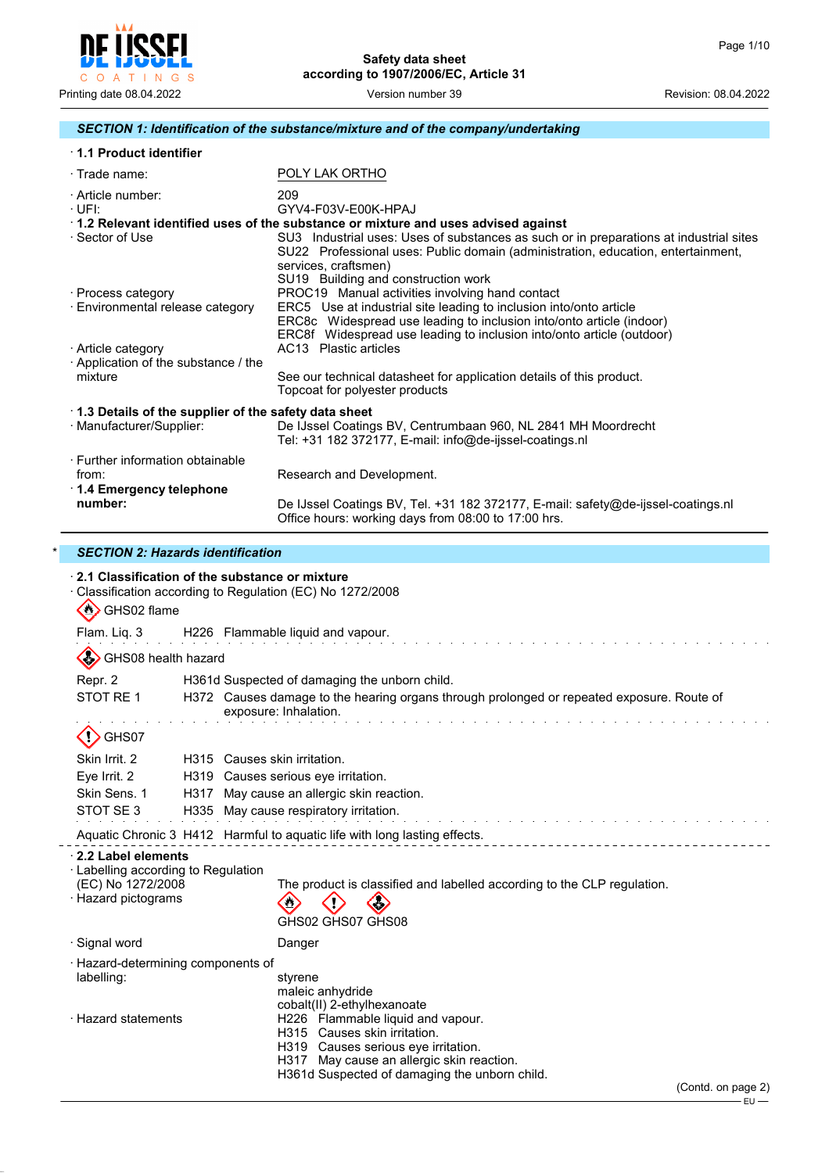

# *SECTION 1: Identification of the substance/mixture and of the company/undertaking*

| 1.1 Product identifier                                               |                                                                                                                                                                                                                                           |
|----------------------------------------------------------------------|-------------------------------------------------------------------------------------------------------------------------------------------------------------------------------------------------------------------------------------------|
| $\cdot$ Trade name:                                                  | POLY LAK ORTHO                                                                                                                                                                                                                            |
| · Article number:<br>$\cdot$ UFI:                                    | 209<br>GYV4-F03V-E00K-HPAJ                                                                                                                                                                                                                |
|                                                                      | 1.2 Relevant identified uses of the substance or mixture and uses advised against                                                                                                                                                         |
| · Sector of Use                                                      | SU3 Industrial uses: Uses of substances as such or in preparations at industrial sites<br>SU22 Professional uses: Public domain (administration, education, entertainment,<br>services, craftsmen)<br>SU19 Building and construction work |
| · Process category                                                   | PROC19 Manual activities involving hand contact                                                                                                                                                                                           |
| · Environmental release category                                     | ERC5 Use at industrial site leading to inclusion into/onto article<br>ERC8c Widespread use leading to inclusion into/onto article (indoor)<br>ERC8f Widespread use leading to inclusion into/onto article (outdoor)                       |
| · Article category                                                   | AC13 Plastic articles                                                                                                                                                                                                                     |
| Application of the substance / the                                   |                                                                                                                                                                                                                                           |
| mixture                                                              | See our technical datasheet for application details of this product.<br>Topcoat for polyester products                                                                                                                                    |
| 1.3 Details of the supplier of the safety data sheet                 |                                                                                                                                                                                                                                           |
| · Manufacturer/Supplier:                                             | De IJssel Coatings BV, Centrumbaan 960, NL 2841 MH Moordrecht<br>Tel: +31 182 372177, E-mail: info@de-ijssel-coatings.nl                                                                                                                  |
| · Further information obtainable<br>from:<br>1.4 Emergency telephone | Research and Development.                                                                                                                                                                                                                 |
| number:                                                              | De IJssel Coatings BV, Tel. +31 182 372177, E-mail: safety@de-ijssel-coatings.nl<br>Office hours: working days from 08:00 to 17:00 hrs.                                                                                                   |

## \* *SECTION 2: Hazards identification*

| 2.1 Classification of the substance or mixture                                                        | Classification according to Regulation (EC) No 1272/2008                                                                                                                                                                                                             |  |
|-------------------------------------------------------------------------------------------------------|----------------------------------------------------------------------------------------------------------------------------------------------------------------------------------------------------------------------------------------------------------------------|--|
| $\langle \cdot \rangle$<br>GHS02 flame<br>Flam. Liq. 3                                                | H226 Flammable liquid and vapour.                                                                                                                                                                                                                                    |  |
| GHS08 health hazard                                                                                   |                                                                                                                                                                                                                                                                      |  |
| Repr. 2<br>STOT RE 1                                                                                  | H361d Suspected of damaging the unborn child.<br>H372 Causes damage to the hearing organs through prolonged or repeated exposure. Route of<br>exposure: Inhalation.                                                                                                  |  |
| GHS07                                                                                                 |                                                                                                                                                                                                                                                                      |  |
| Skin Irrit. 2<br>Eye Irrit. 2<br>Skin Sens. 1<br>H317<br>STOT SE3                                     | H315 Causes skin irritation.<br>H319 Causes serious eye irritation.<br>May cause an allergic skin reaction.<br>H335 May cause respiratory irritation.<br>de la caractería de la caractería de la caractería de la                                                    |  |
|                                                                                                       | Aquatic Chronic 3 H412 Harmful to aquatic life with long lasting effects.                                                                                                                                                                                            |  |
| 2.2 Label elements<br>· Labelling according to Regulation<br>(EC) No 1272/2008<br>· Hazard pictograms | The product is classified and labelled according to the CLP regulation.<br>$\mathbf{C}$<br>GHS02 GHS07 GHS08                                                                                                                                                         |  |
| · Signal word                                                                                         | Danger                                                                                                                                                                                                                                                               |  |
| · Hazard-determining components of<br>labelling:                                                      | styrene<br>maleic anhydride                                                                                                                                                                                                                                          |  |
| · Hazard statements                                                                                   | cobalt(II) 2-ethylhexanoate<br>H226 Flammable liquid and vapour.<br>H315 Causes skin irritation.<br>H319 Causes serious eye irritation.<br>H317 May cause an allergic skin reaction.<br>H361d Suspected of damaging the unborn child.<br>(Contd. on page 2)<br>∙EU — |  |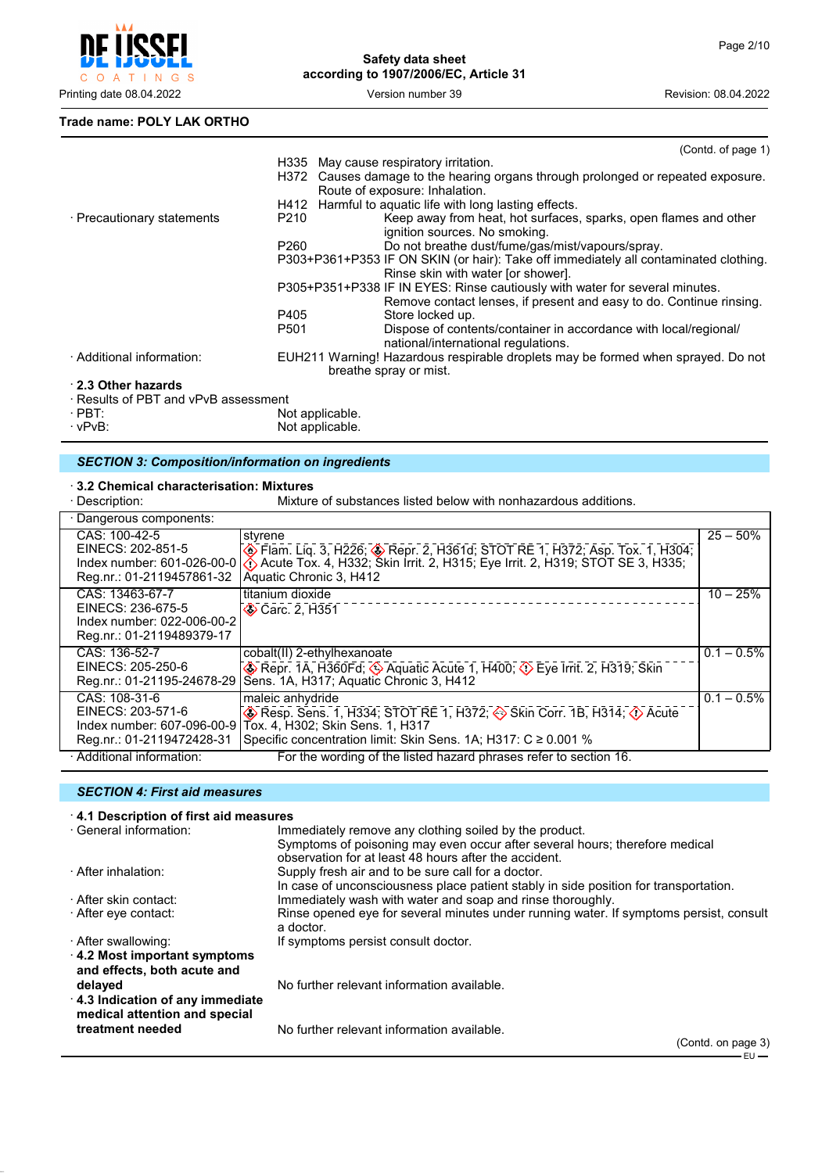

**Trade name: POLY LAK ORTHO**

|                                      | (Contd. of page 1)                                                                                                                                 |
|--------------------------------------|----------------------------------------------------------------------------------------------------------------------------------------------------|
|                                      | H335 May cause respiratory irritation.                                                                                                             |
|                                      | H372 Causes damage to the hearing organs through prolonged or repeated exposure.<br>Route of exposure: Inhalation.                                 |
|                                      | H412 Harmful to aguatic life with long lasting effects.                                                                                            |
| · Precautionary statements<br>P210   | Keep away from heat, hot surfaces, sparks, open flames and other<br>ignition sources. No smoking.                                                  |
| P <sub>260</sub>                     | Do not breathe dust/fume/gas/mist/vapours/spray.                                                                                                   |
|                                      | P303+P361+P353 IF ON SKIN (or hair): Take off immediately all contaminated clothing.<br>Rinse skin with water [or shower].                         |
|                                      | P305+P351+P338 IF IN EYES: Rinse cautiously with water for several minutes.<br>Remove contact lenses, if present and easy to do. Continue rinsing. |
| P405                                 | Store locked up.                                                                                                                                   |
| P501                                 | Dispose of contents/container in accordance with local/regional/<br>national/international regulations.                                            |
| · Additional information:            | EUH211 Warning! Hazardous respirable droplets may be formed when sprayed. Do not<br>breathe spray or mist.                                         |
| 2.3 Other hazards                    |                                                                                                                                                    |
| · Results of PBT and vPvB assessment |                                                                                                                                                    |
| $\cdot$ PBT:                         | Not applicable.                                                                                                                                    |
| $\cdot$ vPvB:                        | Not applicable.                                                                                                                                    |

# *SECTION 3: Composition/information on ingredients*

# · **3.2 Chemical characterisation: Mixtures**

Mixture of substances listed below with nonhazardous additions.

| · Dangerous components:                                                                         |                                                                                                                                                                                                                                      |               |
|-------------------------------------------------------------------------------------------------|--------------------------------------------------------------------------------------------------------------------------------------------------------------------------------------------------------------------------------------|---------------|
| CAS: 100-42-5<br>Reg.nr.: 01-2119457861-32                                                      | styrene<br>EINECS: 202-851-5<br>Index number: 601-026-00-0 (4) Acute Tox. 4, H332; Skin Irrit. 2, H3615; Eye Irrit. 2, H319; STOT SE 3, H335;<br>Aquatic Chronic 3, H412                                                             | $25 - 50%$    |
| CAS: 13463-67-7<br>EINECS: 236-675-5<br>Index number: 022-006-00-2<br>Reg.nr.: 01-2119489379-17 | titanium dioxide<br><b>◆ Carc. 2, H351</b>                                                                                                                                                                                           | $10 - 25%$    |
| CAS: 136-52-7<br>EINECS: 205-250-6                                                              | cobalt(II) 2-ethylhexanoate<br>Repr. 1A, H360Fd; 4 Aquatic Acute 1, H400; 4 Eye Irrit. 2, H319; Skin<br>Reg.nr.: 01-21195-24678-29 Sens. 1A, H317; Aquatic Chronic 3, H412                                                           | $0.1 - 0.5\%$ |
| CAS: 108-31-6<br>EINECS: 203-571-6<br>Index number: 607-096-00-9<br>Reg.nr.: 01-2119472428-31   | maleic anhydride<br>$\circledast$ Resp. Sens. 1, H334; STOT RE 1, H372; $\circledast$ Skin Corr. 1B, H314; $\circledast$ Acute<br>Tox. 4, H302; Skin Sens. 1, H317<br>Specific concentration limit: Skin Sens. 1A; H317: C ≥ 0.001 % | $0.1 - 0.5\%$ |
| · Additional information:                                                                       | For the wording of the listed hazard phrases refer to section 16.                                                                                                                                                                    |               |

#### *SECTION 4: First aid measures*

| 4.1 Description of first aid measures                            |                                                                                                                                      |
|------------------------------------------------------------------|--------------------------------------------------------------------------------------------------------------------------------------|
| · General information:                                           | Immediately remove any clothing soiled by the product.                                                                               |
|                                                                  | Symptoms of poisoning may even occur after several hours; therefore medical<br>observation for at least 48 hours after the accident. |
| · After inhalation:                                              | Supply fresh air and to be sure call for a doctor.                                                                                   |
|                                                                  | In case of unconsciousness place patient stably in side position for transportation.                                                 |
| · After skin contact:                                            | Immediately wash with water and soap and rinse thoroughly.                                                                           |
| After eye contact:                                               | Rinse opened eye for several minutes under running water. If symptoms persist, consult<br>a doctor.                                  |
| · After swallowing:                                              | If symptoms persist consult doctor.                                                                                                  |
| 4.2 Most important symptoms<br>and effects, both acute and       |                                                                                                                                      |
| delayed                                                          | No further relevant information available.                                                                                           |
| 4.3 Indication of any immediate<br>medical attention and special |                                                                                                                                      |
| treatment needed                                                 | No further relevant information available.                                                                                           |
|                                                                  | $(Constant \cap A)$                                                                                                                  |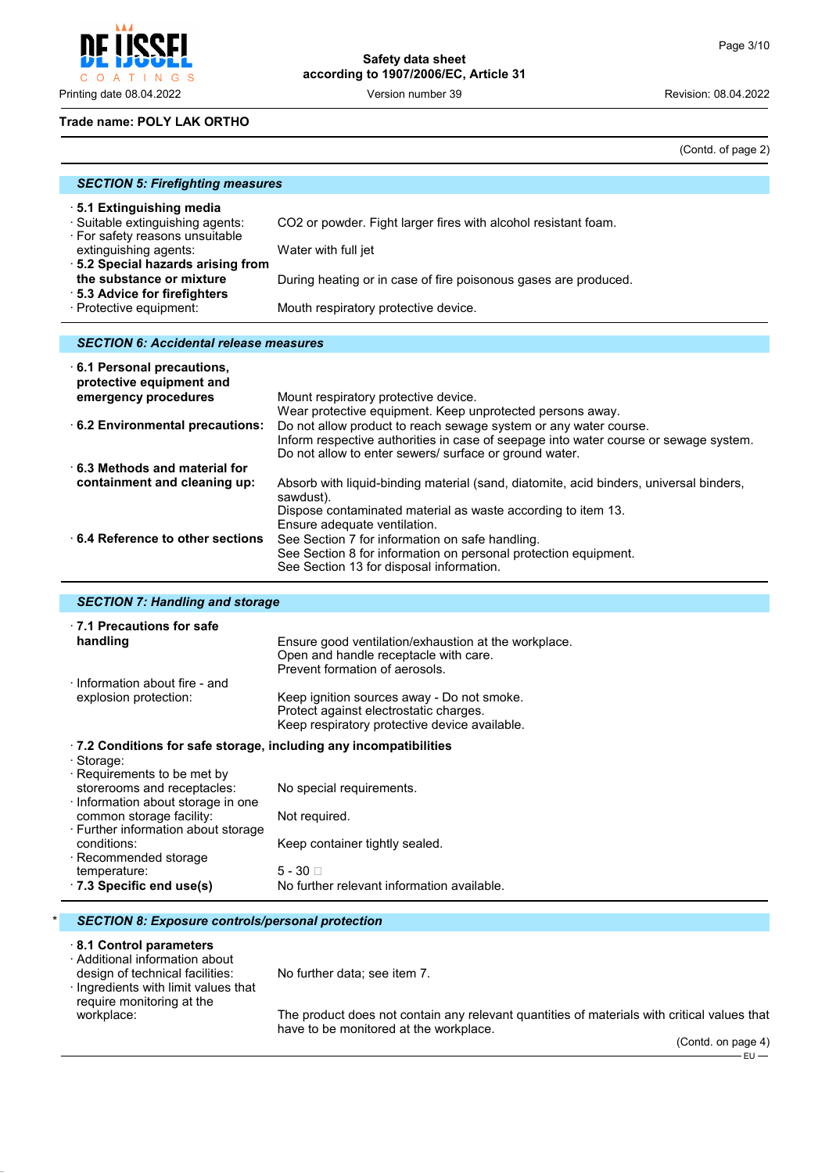O A T INGS

# **Safety data sheet according to 1907/2006/EC, Article 31**

Printing date 08.04.2022 Version number 39 Revision: 08.04.2022

#### **Trade name: POLY LAK ORTHO**

(Contd. of page 2)

| <b>SECTION 5: Firefighting measures</b>                                                        |                                                                 |
|------------------------------------------------------------------------------------------------|-----------------------------------------------------------------|
| 5.1 Extinguishing media<br>· Suitable extinguishing agents:<br>· For safety reasons unsuitable | CO2 or powder. Fight larger fires with alcohol resistant foam.  |
| extinguishing agents:                                                                          | Water with full jet                                             |
| .5.2 Special hazards arising from<br>the substance or mixture<br>⋅ 5.3 Advice for firefighters | During heating or in case of fire poisonous gases are produced. |
| · Protective equipment:                                                                        | Mouth respiratory protective device.                            |

#### *SECTION 6: Accidental release measures*

| 6.1 Personal precautions,<br>protective equipment and |                                                                                                     |
|-------------------------------------------------------|-----------------------------------------------------------------------------------------------------|
| emergency procedures                                  | Mount respiratory protective device.                                                                |
|                                                       | Wear protective equipment. Keep unprotected persons away.                                           |
| 6.2 Environmental precautions:                        | Do not allow product to reach sewage system or any water course.                                    |
|                                                       | Inform respective authorities in case of seepage into water course or sewage system.                |
|                                                       | Do not allow to enter sewers/ surface or ground water.                                              |
| $\cdot$ 6.3 Methods and material for                  |                                                                                                     |
| containment and cleaning up:                          | Absorb with liquid-binding material (sand, diatomite, acid binders, universal binders,<br>sawdust). |
|                                                       | Dispose contaminated material as waste according to item 13.<br>Ensure adequate ventilation.        |
| 6.4 Reference to other sections                       | See Section 7 for information on safe handling.                                                     |
|                                                       | See Section 8 for information on personal protection equipment.                                     |
|                                                       | See Section 13 for disposal information.                                                            |

| <b>SECTION 7: Handling and storage</b>                                                                                      |                                                                                                                                                                         |  |
|-----------------------------------------------------------------------------------------------------------------------------|-------------------------------------------------------------------------------------------------------------------------------------------------------------------------|--|
| $\cdot$ 7.1 Precautions for safe<br>handling                                                                                | Ensure good ventilation/exhaustion at the workplace.<br>Open and handle receptacle with care.                                                                           |  |
| Information about fire - and<br>explosion protection:                                                                       | Prevent formation of aerosols.<br>Keep ignition sources away - Do not smoke.<br>Protect against electrostatic charges.<br>Keep respiratory protective device available. |  |
| $\cdot$ 7.2 Conditions for safe storage, including any incompatibilities<br>· Storage:<br>$\cdot$ Requirements to be met by |                                                                                                                                                                         |  |
| storerooms and receptacles:<br>$\cdot$ Information about storage in one                                                     | No special requirements.                                                                                                                                                |  |
| common storage facility:<br>⋅ Further information about storage                                                             | Not required.                                                                                                                                                           |  |
| conditions:<br>$\cdot$ Recommended storage                                                                                  | Keep container tightly sealed.                                                                                                                                          |  |
| temperature:                                                                                                                | $5 - 30$                                                                                                                                                                |  |
| $\cdot$ 7.3 Specific end use(s)                                                                                             | No further relevant information available.                                                                                                                              |  |

#### \* *SECTION 8: Exposure controls/personal protection*

#### · **8.1 Control parameters**

· Additional information about

design of technical facilities: No further data; see item 7.

· Ingredients with limit values that require monitoring at the<br>workplace:

The product does not contain any relevant quantities of materials with critical values that have to be monitored at the workplace.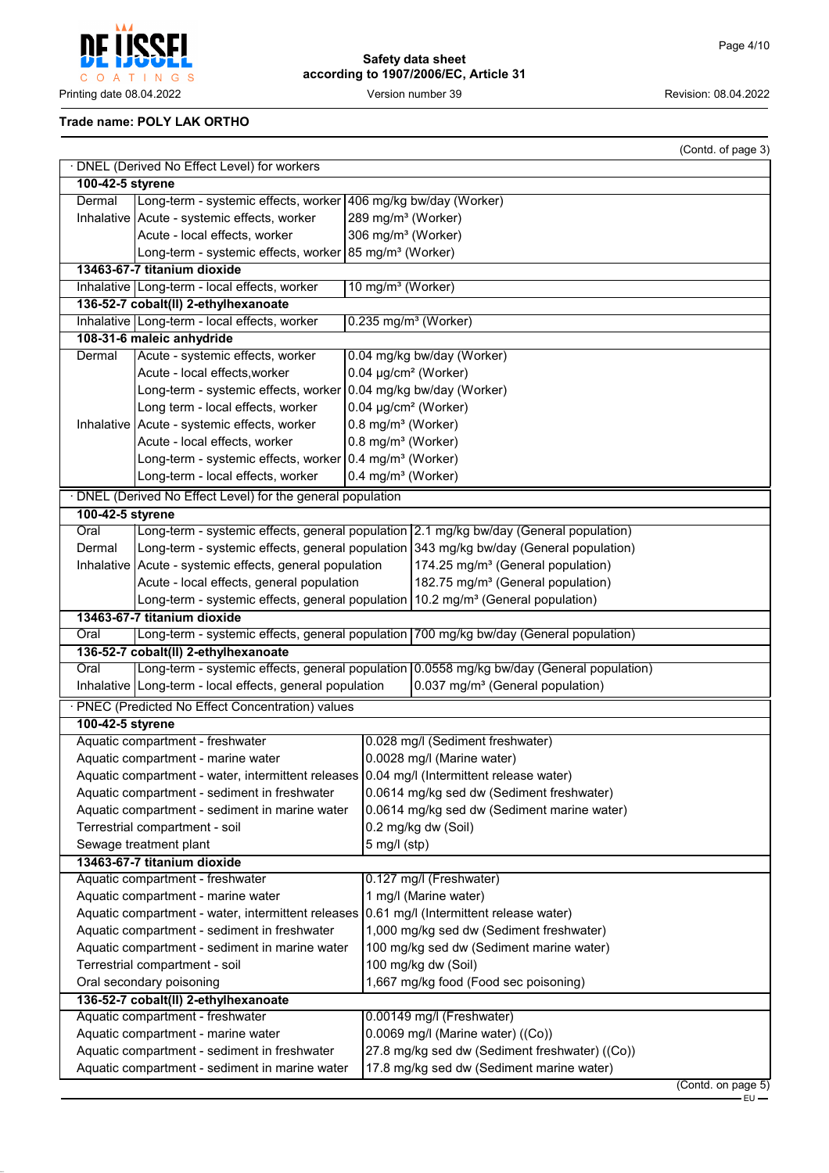**REP** Į C O A T I N G S

**Safety data sheet according to 1907/2006/EC, Article 31**

Printing date 08.04.2022 **Version number 39** Version number 39 Revision: 08.04.2022

## **Trade name: POLY LAK ORTHO**

|                                                                                              | (Contd. of page 3)                                                                             |  |  |
|----------------------------------------------------------------------------------------------|------------------------------------------------------------------------------------------------|--|--|
| · DNEL (Derived No Effect Level) for workers                                                 |                                                                                                |  |  |
| 100-42-5 styrene                                                                             |                                                                                                |  |  |
| Long-term - systemic effects, worker 406 mg/kg bw/day (Worker)<br>Dermal                     |                                                                                                |  |  |
| Inhalative   Acute - systemic effects, worker                                                | 289 mg/m <sup>3</sup> (Worker)                                                                 |  |  |
| Acute - local effects, worker                                                                | 306 mg/m <sup>3</sup> (Worker)                                                                 |  |  |
| Long-term - systemic effects, worker 85 mg/m <sup>3</sup> (Worker)                           |                                                                                                |  |  |
| 13463-67-7 titanium dioxide                                                                  |                                                                                                |  |  |
| Inhalative Long-term - local effects, worker                                                 | 10 mg/m <sup>3</sup> (Worker)                                                                  |  |  |
| 136-52-7 cobalt(II) 2-ethylhexanoate                                                         |                                                                                                |  |  |
| Inhalative Long-term - local effects, worker                                                 | $0.235$ mg/m <sup>3</sup> (Worker)                                                             |  |  |
| 108-31-6 maleic anhydride<br>Acute - systemic effects, worker<br>Dermal                      | 0.04 mg/kg bw/day (Worker)                                                                     |  |  |
| Acute - local effects, worker                                                                | $0.04 \mu g/cm^2$ (Worker)                                                                     |  |  |
| Long-term - systemic effects, worker 0.04 mg/kg bw/day (Worker)                              |                                                                                                |  |  |
| Long term - local effects, worker                                                            | 0.04 µg/cm <sup>2</sup> (Worker)                                                               |  |  |
| Inhalative   Acute - systemic effects, worker                                                | 0.8 mg/m <sup>3</sup> (Worker)                                                                 |  |  |
| Acute - local effects, worker                                                                | 0.8 mg/m <sup>3</sup> (Worker)                                                                 |  |  |
| Long-term - systemic effects, worker 0.4 mg/m <sup>3</sup> (Worker)                          |                                                                                                |  |  |
| Long-term - local effects, worker                                                            | 0.4 mg/m <sup>3</sup> (Worker)                                                                 |  |  |
| · DNEL (Derived No Effect Level) for the general population                                  |                                                                                                |  |  |
| 100-42-5 styrene                                                                             |                                                                                                |  |  |
| Oral                                                                                         | Long-term - systemic effects, general population 2.1 mg/kg bw/day (General population)         |  |  |
| Dermal                                                                                       | Long-term - systemic effects, general population 343 mg/kg bw/day (General population)         |  |  |
| Inhalative   Acute - systemic effects, general population                                    | 174.25 mg/m <sup>3</sup> (General population)                                                  |  |  |
| Acute - local effects, general population                                                    | 182.75 mg/m <sup>3</sup> (General population)                                                  |  |  |
|                                                                                              | Long-term - systemic effects, general population   10.2 mg/m <sup>3</sup> (General population) |  |  |
| 13463-67-7 titanium dioxide                                                                  |                                                                                                |  |  |
| Oral                                                                                         | Long-term - systemic effects, general population 700 mg/kg bw/day (General population)         |  |  |
| 136-52-7 cobalt(II) 2-ethylhexanoate                                                         |                                                                                                |  |  |
| Oral                                                                                         | Long-term - systemic effects, general population 0.0558 mg/kg bw/day (General population)      |  |  |
| Inhalative Long-term - local effects, general population                                     | 0.037 mg/m <sup>3</sup> (General population)                                                   |  |  |
| · PNEC (Predicted No Effect Concentration) values                                            |                                                                                                |  |  |
| 100-42-5 styrene                                                                             |                                                                                                |  |  |
| Aquatic compartment - freshwater                                                             | 0.028 mg/l (Sediment freshwater)                                                               |  |  |
| Aquatic compartment - marine water                                                           | 0.0028 mg/l (Marine water)                                                                     |  |  |
| Aquatic compartment - water, intermittent releases 0.04 mg/l (Intermittent release water)    |                                                                                                |  |  |
| Aquatic compartment - sediment in freshwater                                                 | 0.0614 mg/kg sed dw (Sediment freshwater)                                                      |  |  |
| Aquatic compartment - sediment in marine water                                               | 0.0614 mg/kg sed dw (Sediment marine water)                                                    |  |  |
| Terrestrial compartment - soil                                                               | 0.2 mg/kg dw (Soil)                                                                            |  |  |
| Sewage treatment plant                                                                       | $5$ mg/l (stp)                                                                                 |  |  |
|                                                                                              | 13463-67-7 titanium dioxide                                                                    |  |  |
| Aquatic compartment - freshwater                                                             | 0.127 mg/l (Freshwater)                                                                        |  |  |
| Aquatic compartment - marine water                                                           | 1 mg/l (Marine water)                                                                          |  |  |
| 0.61 mg/l (Intermittent release water)<br>Aquatic compartment - water, intermittent releases |                                                                                                |  |  |
| Aquatic compartment - sediment in freshwater                                                 | 1,000 mg/kg sed dw (Sediment freshwater)                                                       |  |  |
| Aquatic compartment - sediment in marine water<br>Terrestrial compartment - soil             | 100 mg/kg sed dw (Sediment marine water)<br>100 mg/kg dw (Soil)                                |  |  |
| Oral secondary poisoning                                                                     | 1,667 mg/kg food (Food sec poisoning)                                                          |  |  |
| 136-52-7 cobalt(II) 2-ethylhexanoate                                                         |                                                                                                |  |  |
| Aquatic compartment - freshwater                                                             | 0.00149 mg/l (Freshwater)                                                                      |  |  |
| 0.0069 mg/l (Marine water) ((Co))<br>Aquatic compartment - marine water                      |                                                                                                |  |  |
| Aquatic compartment - sediment in freshwater                                                 | 27.8 mg/kg sed dw (Sediment freshwater) ((Co))                                                 |  |  |
| Aquatic compartment - sediment in marine water                                               | 17.8 mg/kg sed dw (Sediment marine water)                                                      |  |  |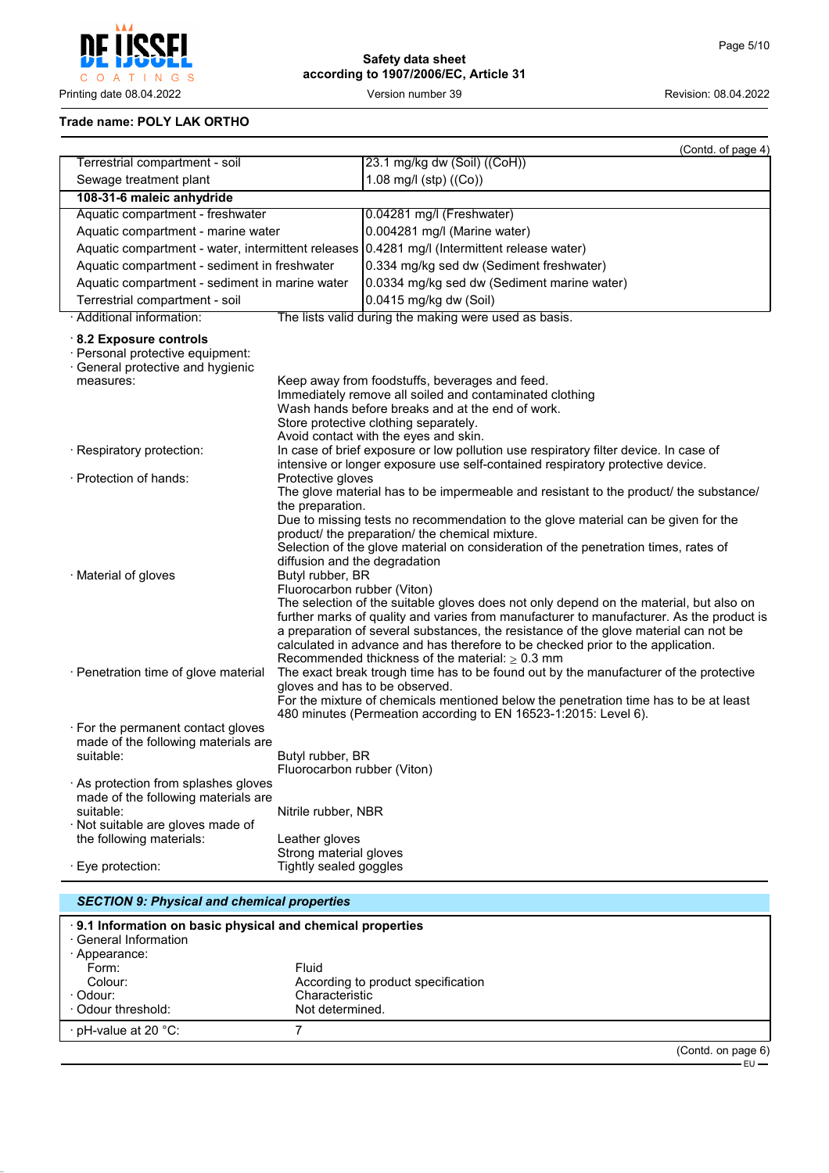וחסי  $\overline{\mathbf{r}}$ C O A T I N G S

**Safety data sheet according to 1907/2006/EC, Article 31**

Printing date 08.04.2022 **Version number 39** Version 100 Version 2002 Revision: 08.04.2022

## **Trade name: POLY LAK ORTHO**

|                                                                                                                               |                                                                                  | (Contd. of page 4)                                                                                                                                                                                                                                                                                                                                                                                                                                                                                        |
|-------------------------------------------------------------------------------------------------------------------------------|----------------------------------------------------------------------------------|-----------------------------------------------------------------------------------------------------------------------------------------------------------------------------------------------------------------------------------------------------------------------------------------------------------------------------------------------------------------------------------------------------------------------------------------------------------------------------------------------------------|
| Terrestrial compartment - soil                                                                                                |                                                                                  | 23.1 mg/kg dw (Soil) ((CoH))                                                                                                                                                                                                                                                                                                                                                                                                                                                                              |
| Sewage treatment plant                                                                                                        |                                                                                  | 1.08 mg/l (stp) $((Co))$                                                                                                                                                                                                                                                                                                                                                                                                                                                                                  |
| 108-31-6 maleic anhydride                                                                                                     |                                                                                  |                                                                                                                                                                                                                                                                                                                                                                                                                                                                                                           |
| Aquatic compartment - freshwater                                                                                              |                                                                                  | 0.04281 mg/l (Freshwater)                                                                                                                                                                                                                                                                                                                                                                                                                                                                                 |
| Aquatic compartment - marine water                                                                                            |                                                                                  | 0.004281 mg/l (Marine water)                                                                                                                                                                                                                                                                                                                                                                                                                                                                              |
| Aquatic compartment - water, intermittent releases                                                                            |                                                                                  | 0.4281 mg/l (Intermittent release water)                                                                                                                                                                                                                                                                                                                                                                                                                                                                  |
| Aquatic compartment - sediment in freshwater                                                                                  |                                                                                  | 0.334 mg/kg sed dw (Sediment freshwater)                                                                                                                                                                                                                                                                                                                                                                                                                                                                  |
| Aquatic compartment - sediment in marine water                                                                                |                                                                                  | 0.0334 mg/kg sed dw (Sediment marine water)                                                                                                                                                                                                                                                                                                                                                                                                                                                               |
| Terrestrial compartment - soil                                                                                                |                                                                                  | 0.0415 mg/kg dw (Soil)                                                                                                                                                                                                                                                                                                                                                                                                                                                                                    |
| · Additional information:                                                                                                     |                                                                                  | The lists valid during the making were used as basis.                                                                                                                                                                                                                                                                                                                                                                                                                                                     |
| 8.2 Exposure controls<br>· Personal protective equipment:<br>General protective and hygienic<br>measures:                     |                                                                                  | Keep away from foodstuffs, beverages and feed.<br>Immediately remove all soiled and contaminated clothing<br>Wash hands before breaks and at the end of work.<br>Store protective clothing separately.                                                                                                                                                                                                                                                                                                    |
| · Respiratory protection:                                                                                                     |                                                                                  | Avoid contact with the eyes and skin.<br>In case of brief exposure or low pollution use respiratory filter device. In case of<br>intensive or longer exposure use self-contained respiratory protective device.                                                                                                                                                                                                                                                                                           |
| · Protection of hands:                                                                                                        | Protective gloves<br>the preparation.                                            | The glove material has to be impermeable and resistant to the product/ the substance/                                                                                                                                                                                                                                                                                                                                                                                                                     |
| · Material of gloves                                                                                                          | diffusion and the degradation<br>Butyl rubber, BR<br>Fluorocarbon rubber (Viton) | Due to missing tests no recommendation to the glove material can be given for the<br>product/ the preparation/ the chemical mixture.<br>Selection of the glove material on consideration of the penetration times, rates of<br>The selection of the suitable gloves does not only depend on the material, but also on<br>further marks of quality and varies from manufacturer to manufacturer. As the product is<br>a preparation of several substances, the resistance of the glove material can not be |
| · Penetration time of glove material                                                                                          |                                                                                  | calculated in advance and has therefore to be checked prior to the application.<br>Recommended thickness of the material: $\geq 0.3$ mm<br>The exact break trough time has to be found out by the manufacturer of the protective<br>gloves and has to be observed.<br>For the mixture of chemicals mentioned below the penetration time has to be at least<br>480 minutes (Permeation according to EN 16523-1:2015: Level 6).                                                                             |
| · For the permanent contact gloves<br>made of the following materials are<br>suitable:                                        | Butyl rubber, BR<br>Fluorocarbon rubber (Viton)                                  |                                                                                                                                                                                                                                                                                                                                                                                                                                                                                                           |
| · As protection from splashes gloves<br>made of the following materials are<br>suitable:<br>· Not suitable are gloves made of | Nitrile rubber, NBR                                                              |                                                                                                                                                                                                                                                                                                                                                                                                                                                                                                           |
| the following materials:                                                                                                      | Leather gloves<br>Strong material gloves                                         |                                                                                                                                                                                                                                                                                                                                                                                                                                                                                                           |
| · Eye protection:                                                                                                             | Tightly sealed goggles                                                           |                                                                                                                                                                                                                                                                                                                                                                                                                                                                                                           |
|                                                                                                                               |                                                                                  |                                                                                                                                                                                                                                                                                                                                                                                                                                                                                                           |

| <b>SECTION 9: Physical and chemical properties</b> |                                                             |                    |
|----------------------------------------------------|-------------------------------------------------------------|--------------------|
| · General Information                              | . 9.1 Information on basic physical and chemical properties |                    |
| · Appearance:                                      |                                                             |                    |
| Form:                                              | Fluid                                                       |                    |
| Colour:                                            | According to product specification                          |                    |
| · Odour:                                           | Characteristic                                              |                    |
| Odour threshold:                                   | Not determined.                                             |                    |
| ⋅ pH-value at 20 °C:                               |                                                             |                    |
|                                                    |                                                             | (Contd. on page 6) |

 $-EU$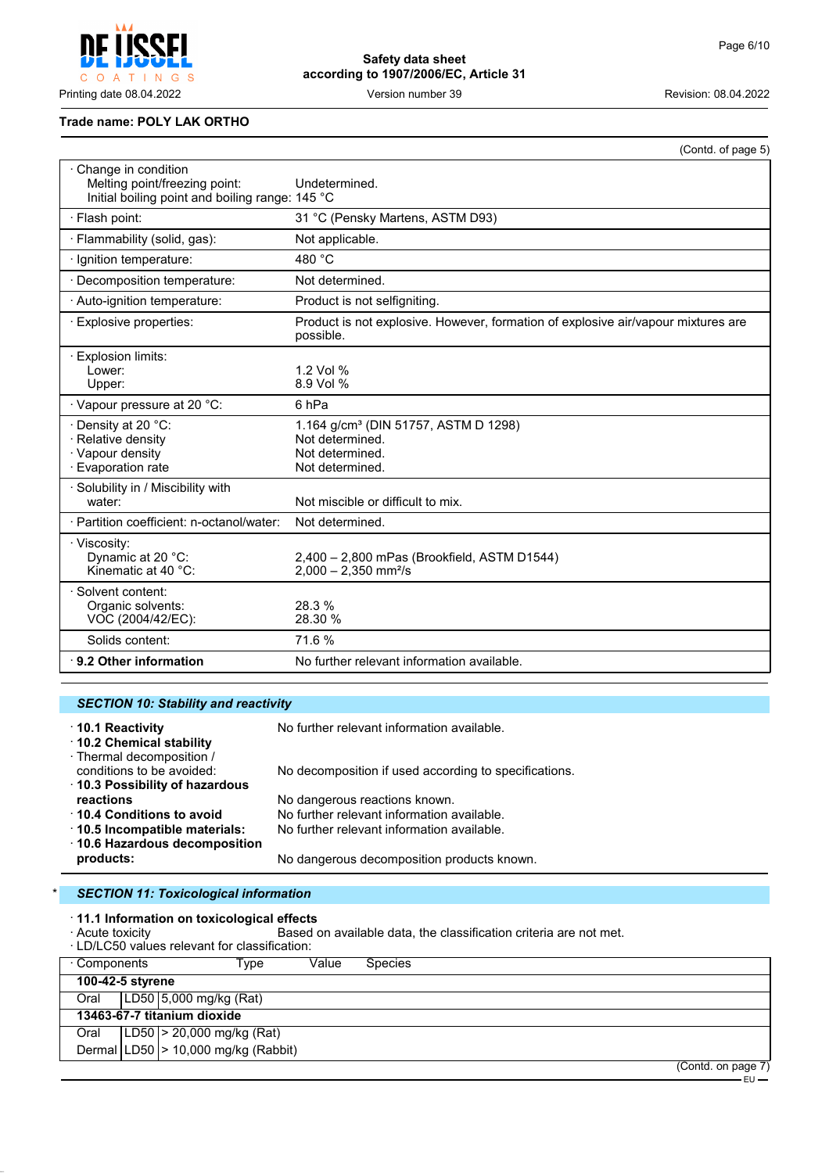$\mathsf{C}$ O A T INGS

# **Safety data sheet according to 1907/2006/EC, Article 31**

Printing date 08.04.2022 Version number 39 Revision: 08.04.2022

#### **Trade name: POLY LAK ORTHO**

|                                                                                                         | (Contd. of page 5)                                                                                        |
|---------------------------------------------------------------------------------------------------------|-----------------------------------------------------------------------------------------------------------|
| Change in condition<br>Melting point/freezing point:<br>Initial boiling point and boiling range: 145 °C | Undetermined.                                                                                             |
| · Flash point:                                                                                          | 31 °C (Pensky Martens, ASTM D93)                                                                          |
| · Flammability (solid, gas):                                                                            | Not applicable.                                                                                           |
| · Ignition temperature:                                                                                 | 480 °C                                                                                                    |
| · Decomposition temperature:                                                                            | Not determined.                                                                                           |
| · Auto-ignition temperature:                                                                            | Product is not selfigniting.                                                                              |
| · Explosive properties:                                                                                 | Product is not explosive. However, formation of explosive air/vapour mixtures are<br>possible.            |
| Explosion limits:<br>Lower:<br>Upper:                                                                   | 1.2 Vol %<br>8.9 Vol %                                                                                    |
| · Vapour pressure at 20 °C:                                                                             | 6 <sub>hPa</sub>                                                                                          |
| · Density at 20 °C:<br>· Relative density<br>· Vapour density<br>· Evaporation rate                     | 1.164 g/cm <sup>3</sup> (DIN 51757, ASTM D 1298)<br>Not determined.<br>Not determined.<br>Not determined. |
| · Solubility in / Miscibility with<br>water:                                                            | Not miscible or difficult to mix.                                                                         |
| · Partition coefficient: n-octanol/water:                                                               | Not determined.                                                                                           |
| · Viscosity:<br>Dynamic at 20 °C:<br>Kinematic at 40 $°C$ :                                             | 2,400 - 2,800 mPas (Brookfield, ASTM D1544)<br>$2,000 - 2,350$ mm <sup>2</sup> /s                         |
| Solvent content:<br>Organic solvents:<br>VOC (2004/42/EC):                                              | 28.3%<br>28.30 %                                                                                          |
| Solids content:                                                                                         | 71.6%                                                                                                     |
| $\cdot$ 9.2 Other information                                                                           | No further relevant information available.                                                                |

# *SECTION 10: Stability and reactivity*

| 10.1 Reactivity<br>10.2 Chemical stability             | No further relevant information available.            |
|--------------------------------------------------------|-------------------------------------------------------|
| · Thermal decomposition /<br>conditions to be avoided: | No decomposition if used according to specifications. |
| 10.3 Possibility of hazardous<br>reactions             | No dangerous reactions known.                         |
| ↑ 10.4 Conditions to avoid                             | No further relevant information available.            |
| 10.5 Incompatible materials:                           | No further relevant information available.            |
| ⋅ 10.6 Hazardous decomposition                         |                                                       |
| products:                                              | No dangerous decomposition products known.            |

## **SECTION 11: Toxicological information**

· **11.1 Information on toxicological effects**

**Processity** and available data, the classification criteria are not met.

| <b>ACULE LOXICITY</b> | · LD/LC50 values relevant for classification: |       |                | Based on available data, the classification criteria are not met. |  |                    |  |
|-----------------------|-----------------------------------------------|-------|----------------|-------------------------------------------------------------------|--|--------------------|--|
| ⋅ Components          | Type                                          | Value | <b>Species</b> |                                                                   |  |                    |  |
| 100-42-5 styrene      |                                               |       |                |                                                                   |  |                    |  |
| Oral                  | LD50 5,000 mg/kg (Rat)                        |       |                |                                                                   |  |                    |  |
|                       | 13463-67-7 titanium dioxide                   |       |                |                                                                   |  |                    |  |
| Oral                  | $ LD50  > 20,000$ mg/kg (Rat)                 |       |                |                                                                   |  |                    |  |
|                       | Dermal $ LD50 $ > 10,000 mg/kg (Rabbit)       |       |                |                                                                   |  |                    |  |
|                       |                                               |       |                |                                                                   |  | (Contd. on page 7) |  |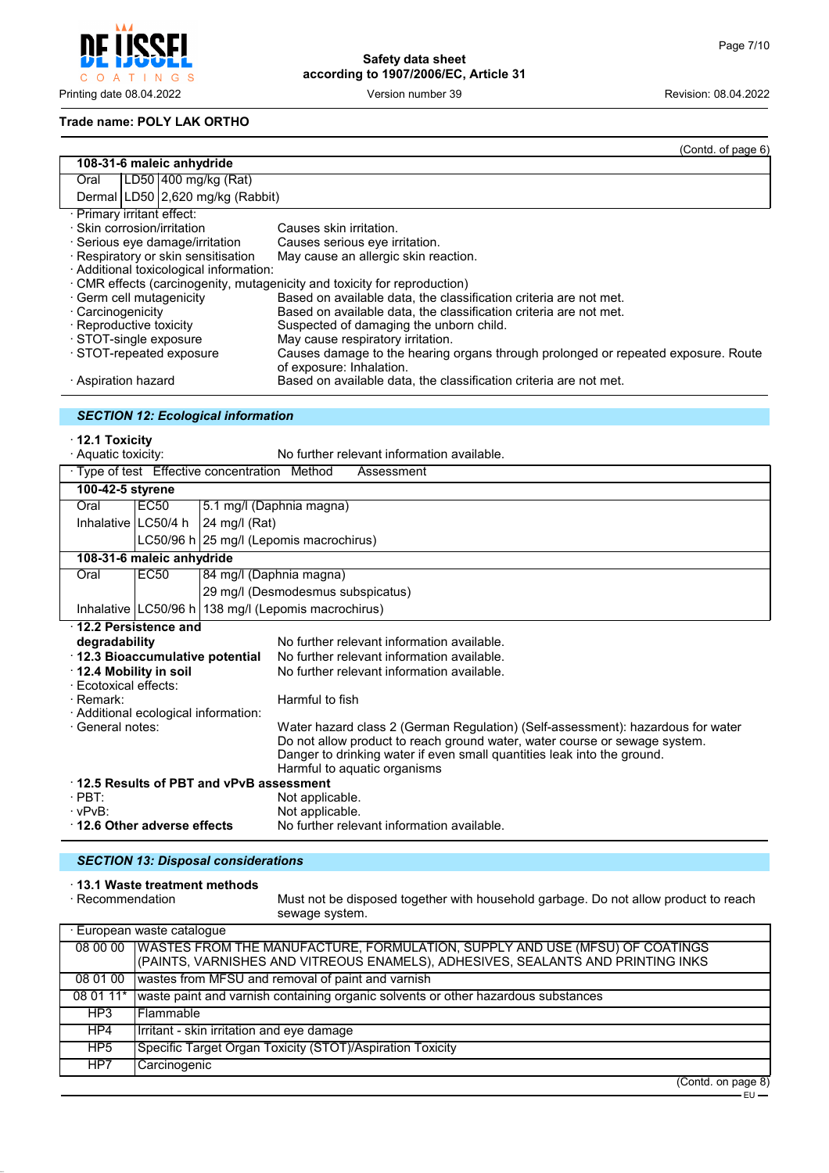$\mathsf{C}$ O A T I N G S

Printing date 08.04.2022 Version number 39 Revision: 08.04.2022

# **Safety data sheet according to 1907/2006/EC, Article 31**

#### **Trade name: POLY LAK ORTHO**

|                                                                                                                                             | (Contd. of page 6)                                                                                            |  |  |  |
|---------------------------------------------------------------------------------------------------------------------------------------------|---------------------------------------------------------------------------------------------------------------|--|--|--|
| 108-31-6 maleic anhydride                                                                                                                   |                                                                                                               |  |  |  |
| LD50 400 mg/kg (Rat)<br>Oral                                                                                                                |                                                                                                               |  |  |  |
| Dermal LD50 2,620 mg/kg (Rabbit)                                                                                                            |                                                                                                               |  |  |  |
| · Primary irritant effect:                                                                                                                  |                                                                                                               |  |  |  |
| $\cdot$ Skin corrosion/irritation                                                                                                           | Causes skin irritation.                                                                                       |  |  |  |
| · Serious eye damage/irritation<br>· Respiratory or skin sensitisation                                                                      | Causes serious eye irritation.<br>May cause an allergic skin reaction.                                        |  |  |  |
| · Additional toxicological information:                                                                                                     |                                                                                                               |  |  |  |
|                                                                                                                                             | · CMR effects (carcinogenity, mutagenicity and toxicity for reproduction)                                     |  |  |  |
| · Germ cell mutagenicity                                                                                                                    | Based on available data, the classification criteria are not met.                                             |  |  |  |
| · Carcinogenicity                                                                                                                           | Based on available data, the classification criteria are not met.                                             |  |  |  |
| · Reproductive toxicity                                                                                                                     | Suspected of damaging the unborn child.                                                                       |  |  |  |
| STOT-single exposure                                                                                                                        | May cause respiratory irritation.                                                                             |  |  |  |
| · STOT-repeated exposure                                                                                                                    | Causes damage to the hearing organs through prolonged or repeated exposure. Route<br>of exposure: Inhalation. |  |  |  |
| · Aspiration hazard                                                                                                                         | Based on available data, the classification criteria are not met.                                             |  |  |  |
|                                                                                                                                             |                                                                                                               |  |  |  |
| <b>SECTION 12: Ecological information</b>                                                                                                   |                                                                                                               |  |  |  |
|                                                                                                                                             |                                                                                                               |  |  |  |
| $\cdot$ 12.1 Toxicity                                                                                                                       |                                                                                                               |  |  |  |
| · Aquatic toxicity:                                                                                                                         | No further relevant information available.                                                                    |  |  |  |
| Type of test Effective concentration Method                                                                                                 | Assessment                                                                                                    |  |  |  |
| 100-42-5 styrene                                                                                                                            |                                                                                                               |  |  |  |
| <b>EC50</b><br>Oral                                                                                                                         | 5.1 mg/l (Daphnia magna)                                                                                      |  |  |  |
| Inhalative LC50/4 h<br>24 mg/l (Rat)                                                                                                        |                                                                                                               |  |  |  |
| LC50/96 h 25 mg/l (Lepomis macrochirus)                                                                                                     |                                                                                                               |  |  |  |
| 108-31-6 maleic anhydride                                                                                                                   |                                                                                                               |  |  |  |
| <b>EC50</b><br>Oral                                                                                                                         | 84 mg/l (Daphnia magna)                                                                                       |  |  |  |
|                                                                                                                                             | 29 mg/l (Desmodesmus subspicatus)                                                                             |  |  |  |
| Inhalative   LC50/96 h   138 mg/l (Lepomis macrochirus)                                                                                     |                                                                                                               |  |  |  |
| 12.2 Persistence and                                                                                                                        |                                                                                                               |  |  |  |
| degradability                                                                                                                               | No further relevant information available.                                                                    |  |  |  |
| · 12.3 Bioaccumulative potential                                                                                                            | No further relevant information available.                                                                    |  |  |  |
| 12.4 Mobility in soil                                                                                                                       | No further relevant information available.                                                                    |  |  |  |
| · Ecotoxical effects:                                                                                                                       |                                                                                                               |  |  |  |
| $\cdot$ Remark:                                                                                                                             | Harmful to fish                                                                                               |  |  |  |
| · Additional ecological information:<br>· General notes:<br>Water hazard class 2 (German Regulation) (Self-assessment): hazardous for water |                                                                                                               |  |  |  |
|                                                                                                                                             | Do not allow product to reach ground water, water course or sewage system.                                    |  |  |  |
|                                                                                                                                             | Danger to drinking water if even small quantities leak into the ground.                                       |  |  |  |
|                                                                                                                                             | Harmful to aquatic organisms                                                                                  |  |  |  |
| 12.5 Results of PBT and vPvB assessment                                                                                                     |                                                                                                               |  |  |  |
| $\cdot$ PBT:                                                                                                                                | Not applicable.                                                                                               |  |  |  |
| $\cdot$ vPvB:                                                                                                                               | Not applicable.                                                                                               |  |  |  |
| 12.6 Other adverse effects                                                                                                                  | No further relevant information available.                                                                    |  |  |  |

## *SECTION 13: Disposal considerations*

# · **13.1 Waste treatment methods**

Must not be disposed together with household garbage. Do not allow product to reach sewage system.

| · European waste catalogue |                                                                                                                                                                           |  |  |
|----------------------------|---------------------------------------------------------------------------------------------------------------------------------------------------------------------------|--|--|
|                            | 08 00 00   WASTES FROM THE MANUFACTURE, FORMULATION, SUPPLY AND USE (MFSU) OF COATINGS<br>(PAINTS, VARNISHES AND VITREOUS ENAMELS), ADHESIVES, SEALANTS AND PRINTING INKS |  |  |
|                            |                                                                                                                                                                           |  |  |
| 08 01 00                   | wastes from MFSU and removal of paint and varnish                                                                                                                         |  |  |
| 08 01 11*                  | waste paint and varnish containing organic solvents or other hazardous substances                                                                                         |  |  |
| HP3                        | l Flammable                                                                                                                                                               |  |  |
| HP4                        | Irritant - skin irritation and eye damage                                                                                                                                 |  |  |
| HP <sub>5</sub>            | Specific Target Organ Toxicity (STOT)/Aspiration Toxicity                                                                                                                 |  |  |
| HP7                        | ∣Carcinoqenic                                                                                                                                                             |  |  |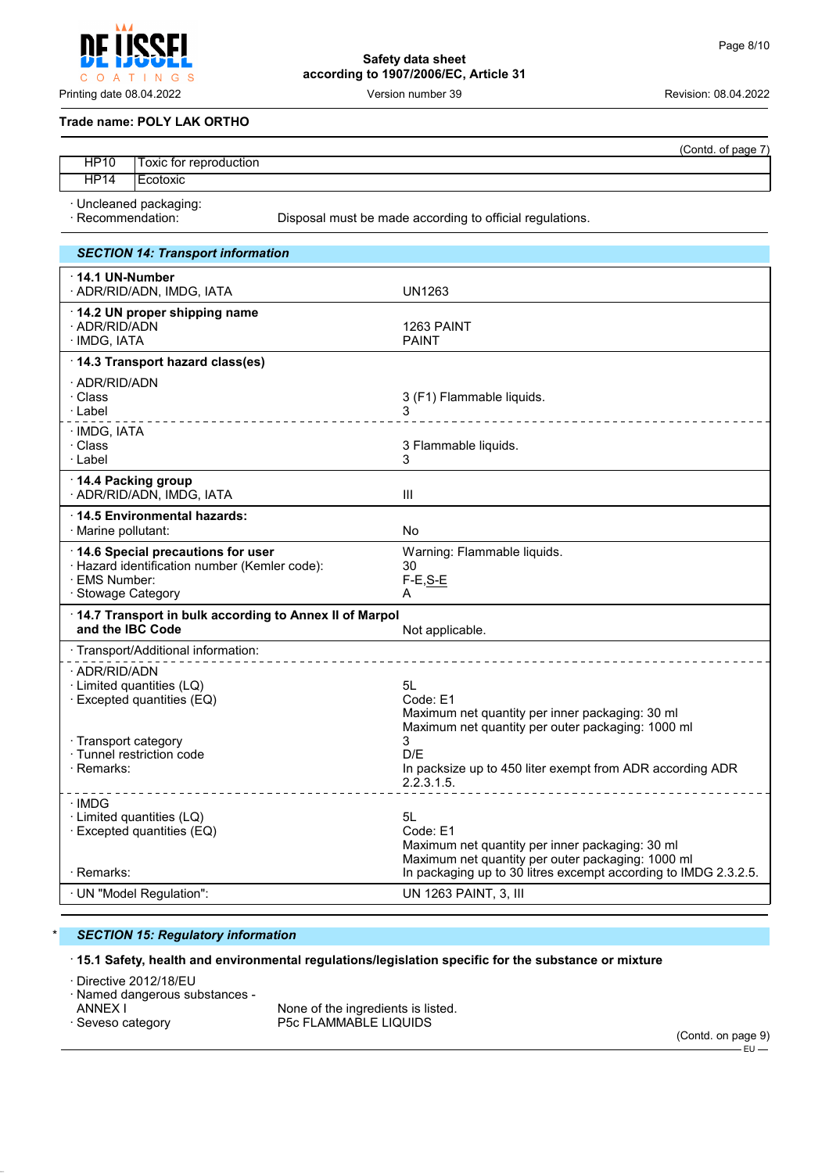**Safety data sheet according to 1907/2006/EC, Article 31**

Printing date 08.04.2022 Version number 39 Revision: 08.04.2022

#### **Trade name: POLY LAK ORTHO**

INGS

|             |                              | (Contd. of page 7) |
|-------------|------------------------------|--------------------|
| <b>HP10</b> | Toxic for reproduction       |                    |
| <b>HP14</b> | Ecotoxic                     |                    |
|             | $\cdot$ Uncleaned nackaging: |                    |

· Uncleaned packaging:

 $\circ$ A T

· Recommendation: Disposal must be made according to official regulations.

| <b>SECTION 14: Transport information</b>                                                                                  |                                                                                                                             |
|---------------------------------------------------------------------------------------------------------------------------|-----------------------------------------------------------------------------------------------------------------------------|
| $\cdot$ 14.1 UN-Number<br>· ADR/RID/ADN, IMDG, IATA                                                                       | UN1263                                                                                                                      |
| 14.2 UN proper shipping name<br>· ADR/RID/ADN<br>· IMDG, IATA                                                             | 1263 PAINT<br><b>PAINT</b>                                                                                                  |
| 14.3 Transport hazard class(es)                                                                                           |                                                                                                                             |
| · ADR/RID/ADN<br>· Class<br>· Label                                                                                       | 3 (F1) Flammable liquids.<br>_ _ _ _ _ _ _ _ _ _ _ _ _ _ _                                                                  |
| · IMDG, IATA<br>· Class<br>· Label                                                                                        | 3 Flammable liquids.<br>3                                                                                                   |
| 14.4 Packing group<br>· ADR/RID/ADN, IMDG, IATA                                                                           | Ш                                                                                                                           |
| 14.5 Environmental hazards:<br>· Marine pollutant:                                                                        | No                                                                                                                          |
| 14.6 Special precautions for user<br>· Hazard identification number (Kemler code):<br>· EMS Number:<br>· Stowage Category | Warning: Flammable liquids.<br>30<br>$F-E, S-E$<br>A                                                                        |
| 14.7 Transport in bulk according to Annex II of Marpol<br>and the IBC Code                                                | Not applicable.                                                                                                             |
| · Transport/Additional information:                                                                                       |                                                                                                                             |
| · ADR/RID/ADN<br>· Limited quantities (LQ)<br>$\cdot$ Excepted quantities (EQ)<br>· Transport category                    | 5L<br>Code: E1<br>Maximum net quantity per inner packaging: 30 ml<br>Maximum net quantity per outer packaging: 1000 ml<br>3 |
| · Tunnel restriction code<br>$\cdot$ Remarks:                                                                             | D/F<br>In packsize up to 450 liter exempt from ADR according ADR<br>2.2.3.1.5.                                              |
| ∴IMDG<br>· Limited quantities (LQ)<br>· Excepted quantities (EQ)                                                          | 5L<br>Code: E1<br>Maximum net quantity per inner packaging: 30 ml<br>Maximum net quantity per outer packaging: 1000 ml      |
| $\cdot$ Remarks:                                                                                                          | In packaging up to 30 litres excempt according to IMDG 2.3.2.5.                                                             |
| · UN "Model Regulation":                                                                                                  | UN 1263 PAINT, 3, III                                                                                                       |

#### \* *SECTION 15: Regulatory information*

#### · **15.1 Safety, health and environmental regulations/legislation specific for the substance or mixture**

· Directive 2012/18/EU

· Named dangerous substances -

ANNEX I THE SECTE IN NONE Of the ingredients is listed.<br>
Seveso category The SECTLAMMABLE LIQUIDS P5c FLAMMABLE LIQUIDS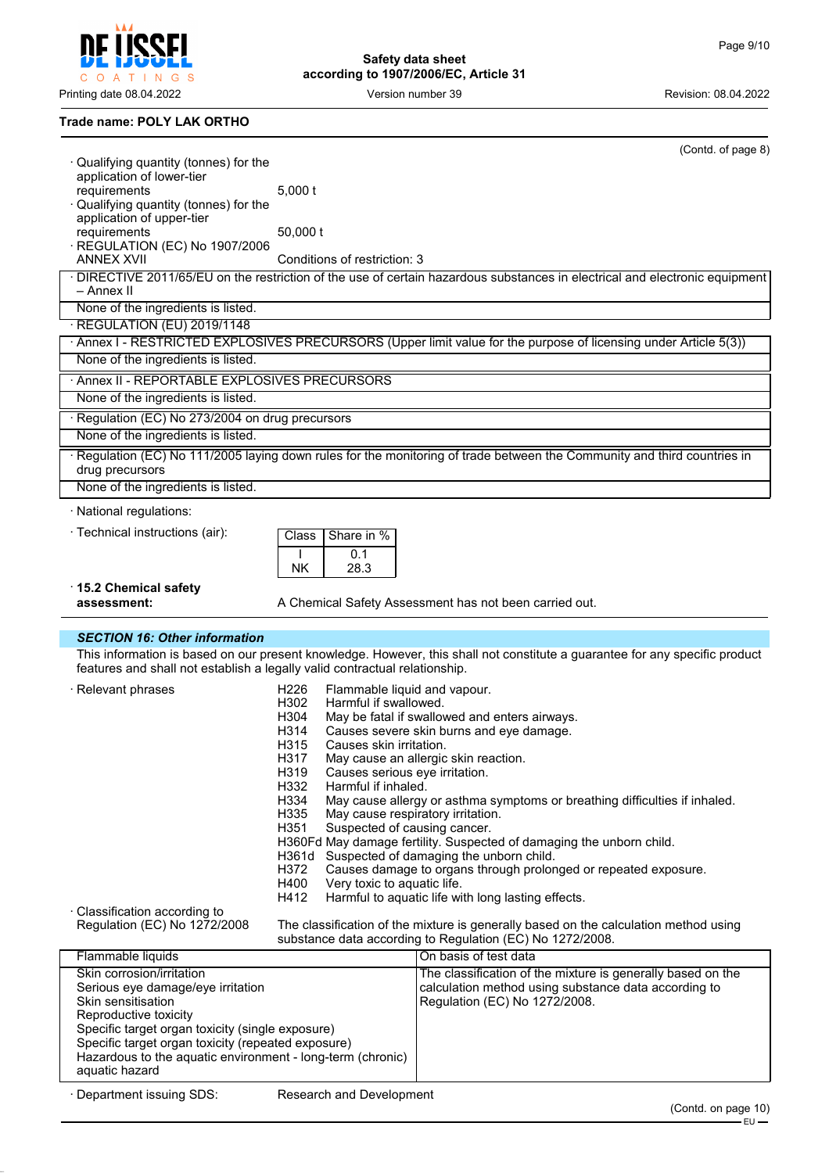C O A T I N G S

**Safety data sheet according to 1907/2006/EC, Article 31**

Printing date 08.04.2022 **Version number 39** Version number 39 Revision: 08.04.2022

# **Trade name: POLY LAK ORTHO**

| ⋅ Qualifying quantity (tonnes) for the                              | (Contd. of page 8)                                                                                                                                                                                        |
|---------------------------------------------------------------------|-----------------------------------------------------------------------------------------------------------------------------------------------------------------------------------------------------------|
| application of lower-tier                                           |                                                                                                                                                                                                           |
| requirements                                                        | 5,000t                                                                                                                                                                                                    |
| · Qualifying quantity (tonnes) for the<br>application of upper-tier |                                                                                                                                                                                                           |
| requirements                                                        | 50,000 t                                                                                                                                                                                                  |
| · REGULATION (EC) No 1907/2006                                      |                                                                                                                                                                                                           |
| <b>ANNEX XVII</b>                                                   | Conditions of restriction: 3                                                                                                                                                                              |
| - Annex II                                                          | · DIRECTIVE 2011/65/EU on the restriction of the use of certain hazardous substances in electrical and electronic equipment                                                                               |
| None of the ingredients is listed.                                  |                                                                                                                                                                                                           |
| · REGULATION (EU) 2019/1148                                         |                                                                                                                                                                                                           |
|                                                                     | · Annex I - RESTRICTED EXPLOSIVES PRECURSORS (Upper limit value for the purpose of licensing under Article 5(3))                                                                                          |
| None of the ingredients is listed.                                  |                                                                                                                                                                                                           |
| · Annex II - REPORTABLE EXPLOSIVES PRECURSORS                       |                                                                                                                                                                                                           |
| None of the ingredients is listed.                                  |                                                                                                                                                                                                           |
| · Regulation (EC) No 273/2004 on drug precursors                    |                                                                                                                                                                                                           |
| None of the ingredients is listed.                                  |                                                                                                                                                                                                           |
| drug precursors                                                     | · Regulation (EC) No 111/2005 laying down rules for the monitoring of trade between the Community and third countries in                                                                                  |
| None of the ingredients is listed.                                  |                                                                                                                                                                                                           |
| · National regulations:                                             |                                                                                                                                                                                                           |
| · Technical instructions (air):                                     | Share in %<br>Class                                                                                                                                                                                       |
|                                                                     | 0.1                                                                                                                                                                                                       |
|                                                                     | 28.3<br>NΚ                                                                                                                                                                                                |
| ⋅15.2 Chemical safety                                               |                                                                                                                                                                                                           |
| assessment:                                                         | A Chemical Safety Assessment has not been carried out.                                                                                                                                                    |
|                                                                     |                                                                                                                                                                                                           |
| <b>SECTION 16: Other information</b>                                |                                                                                                                                                                                                           |
|                                                                     | This information is based on our present knowledge. However, this shall not constitute a guarantee for any specific product<br>features and shall not establish a legally valid contractual relationship. |
| · Relevant phrases                                                  | H226<br>Flammable liquid and vapour.                                                                                                                                                                      |
|                                                                     | Harmful if swallowed.<br>H302                                                                                                                                                                             |
|                                                                     | May be fatal if swallowed and enters airways.<br>H304                                                                                                                                                     |
|                                                                     | H314<br>Causes severe skin burns and eye damage.<br>H315<br>Causes skin irritation.                                                                                                                       |
|                                                                     | H317<br>May cause an allergic skin reaction.                                                                                                                                                              |
|                                                                     | H319<br>Causes serious eye irritation.                                                                                                                                                                    |
|                                                                     | H332<br>Harmful if inhaled.                                                                                                                                                                               |
|                                                                     | H334<br>May cause allergy or asthma symptoms or breathing difficulties if inhaled.                                                                                                                        |
|                                                                     | H335<br>May cause respiratory irritation.<br>H351<br>Suspected of causing cancer.                                                                                                                         |
|                                                                     | H360Fd May damage fertility. Suspected of damaging the unborn child.                                                                                                                                      |
|                                                                     | H361d Suspected of damaging the unborn child.                                                                                                                                                             |
|                                                                     | H372<br>Causes damage to organs through prolonged or repeated exposure.                                                                                                                                   |
|                                                                     | H400<br>Very toxic to aquatic life.<br>H412<br>Harmful to aquatic life with long lasting effects.                                                                                                         |
| · Classification according to                                       |                                                                                                                                                                                                           |
| Regulation (EC) No 1272/2008                                        | The classification of the mixture is generally based on the calculation method using<br>substance data according to Regulation (EC) No 1272/2008.                                                         |
| Flammable liquids                                                   | On basis of test data                                                                                                                                                                                     |
| Skin corrosion/irritation                                           | The classification of the mixture is generally based on the                                                                                                                                               |

| Skin corrosion/irritation                                  | The classification of the mixture is generally based on the |
|------------------------------------------------------------|-------------------------------------------------------------|
| Serious eye damage/eye irritation                          | calculation method using substance data according to        |
| Skin sensitisation                                         | Regulation (EC) No 1272/2008.                               |
| Reproductive toxicity                                      |                                                             |
| Specific target organ toxicity (single exposure)           |                                                             |
| Specific target organ toxicity (repeated exposure)         |                                                             |
| Hazardous to the aquatic environment - long-term (chronic) |                                                             |
| aquatic hazard                                             |                                                             |
|                                                            |                                                             |